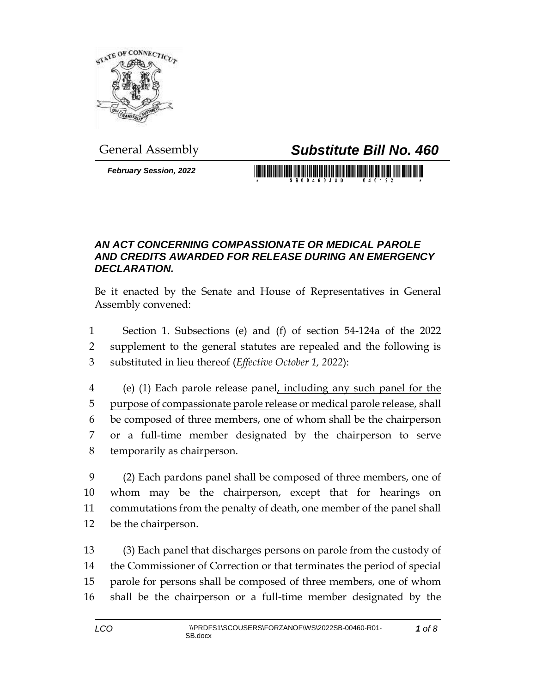

## General Assembly *Substitute Bill No. 460*

*February Session, 2022*

## *AN ACT CONCERNING COMPASSIONATE OR MEDICAL PAROLE AND CREDITS AWARDED FOR RELEASE DURING AN EMERGENCY DECLARATION.*

Be it enacted by the Senate and House of Representatives in General Assembly convened:

 Section 1. Subsections (e) and (f) of section 54-124a of the 2022 supplement to the general statutes are repealed and the following is substituted in lieu thereof (*Effective October 1, 2022*):

4 (e) (1) Each parole release panel, including any such panel for the purpose of compassionate parole release or medical parole release, shall be composed of three members, one of whom shall be the chairperson or a full-time member designated by the chairperson to serve temporarily as chairperson.

 (2) Each pardons panel shall be composed of three members, one of whom may be the chairperson, except that for hearings on commutations from the penalty of death, one member of the panel shall be the chairperson.

 (3) Each panel that discharges persons on parole from the custody of the Commissioner of Correction or that terminates the period of special parole for persons shall be composed of three members, one of whom shall be the chairperson or a full-time member designated by the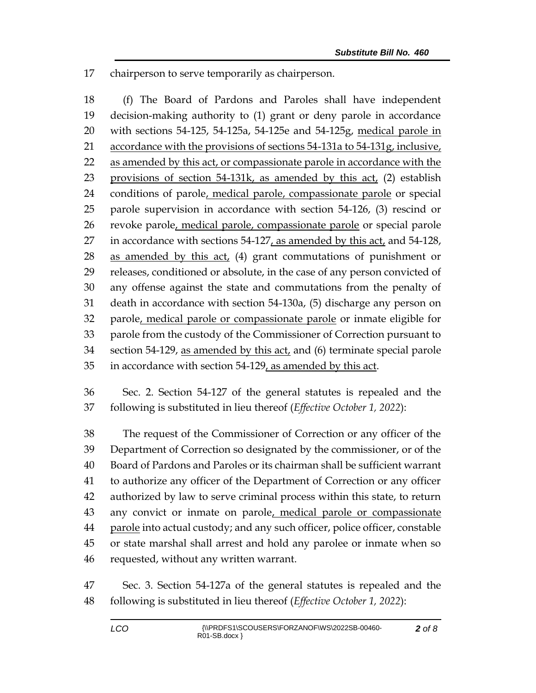chairperson to serve temporarily as chairperson.

 (f) The Board of Pardons and Paroles shall have independent decision-making authority to (1) grant or deny parole in accordance with sections 54-125, 54-125a, 54-125e and 54-125g, medical parole in 21 accordance with the provisions of sections 54-131a to 54-131g, inclusive, 22 as amended by this act, or compassionate parole in accordance with the provisions of section 54-131k, as amended by this act, (2) establish 24 conditions of parole, medical parole, compassionate parole or special parole supervision in accordance with section 54-126, (3) rescind or 26 revoke parole, medical parole, compassionate parole or special parole in accordance with sections 54-127, as amended by this act, and 54-128, as amended by this act, (4) grant commutations of punishment or releases, conditioned or absolute, in the case of any person convicted of any offense against the state and commutations from the penalty of death in accordance with section 54-130a, (5) discharge any person on parole, medical parole or compassionate parole or inmate eligible for parole from the custody of the Commissioner of Correction pursuant to 34 section 54-129, as amended by this act, and (6) terminate special parole in accordance with section 54-129, as amended by this act.

 Sec. 2. Section 54-127 of the general statutes is repealed and the following is substituted in lieu thereof (*Effective October 1, 2022*):

 The request of the Commissioner of Correction or any officer of the Department of Correction so designated by the commissioner, or of the Board of Pardons and Paroles or its chairman shall be sufficient warrant to authorize any officer of the Department of Correction or any officer authorized by law to serve criminal process within this state, to return any convict or inmate on parole, medical parole or compassionate 44 parole into actual custody; and any such officer, police officer, constable or state marshal shall arrest and hold any parolee or inmate when so requested, without any written warrant.

 Sec. 3. Section 54-127a of the general statutes is repealed and the following is substituted in lieu thereof (*Effective October 1, 2022*):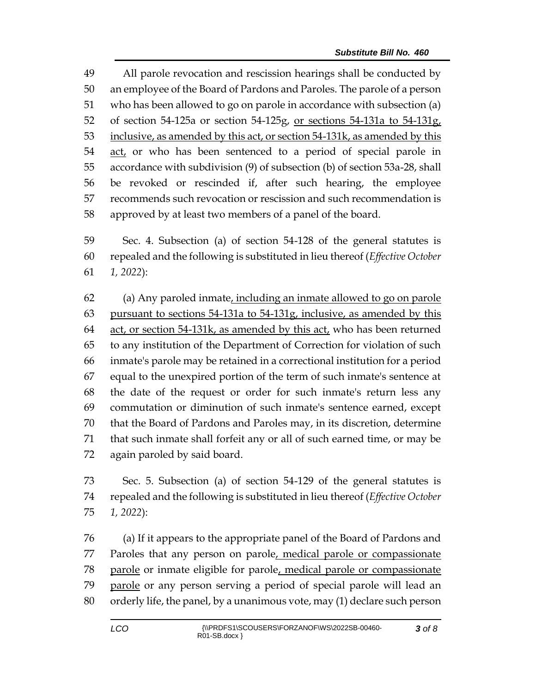All parole revocation and rescission hearings shall be conducted by an employee of the Board of Pardons and Paroles. The parole of a person who has been allowed to go on parole in accordance with subsection (a) of section 54-125a or section 54-125g, or sections 54-131a to 54-131g, 53 inclusive, as amended by this act, or section 54-131k, as amended by this act, or who has been sentenced to a period of special parole in accordance with subdivision (9) of subsection (b) of section 53a-28, shall be revoked or rescinded if, after such hearing, the employee recommends such revocation or rescission and such recommendation is approved by at least two members of a panel of the board.

 Sec. 4. Subsection (a) of section 54-128 of the general statutes is repealed and the following is substituted in lieu thereof (*Effective October 1, 2022*):

 (a) Any paroled inmate, including an inmate allowed to go on parole pursuant to sections 54-131a to 54-131g, inclusive, as amended by this act, or section 54-131k, as amended by this act, who has been returned to any institution of the Department of Correction for violation of such inmate's parole may be retained in a correctional institution for a period equal to the unexpired portion of the term of such inmate's sentence at the date of the request or order for such inmate's return less any commutation or diminution of such inmate's sentence earned, except that the Board of Pardons and Paroles may, in its discretion, determine that such inmate shall forfeit any or all of such earned time, or may be again paroled by said board.

 Sec. 5. Subsection (a) of section 54-129 of the general statutes is repealed and the following is substituted in lieu thereof (*Effective October 1, 2022*):

 (a) If it appears to the appropriate panel of the Board of Pardons and Paroles that any person on parole, medical parole or compassionate parole or inmate eligible for parole, medical parole or compassionate 79 parole or any person serving a period of special parole will lead an orderly life, the panel, by a unanimous vote, may (1) declare such person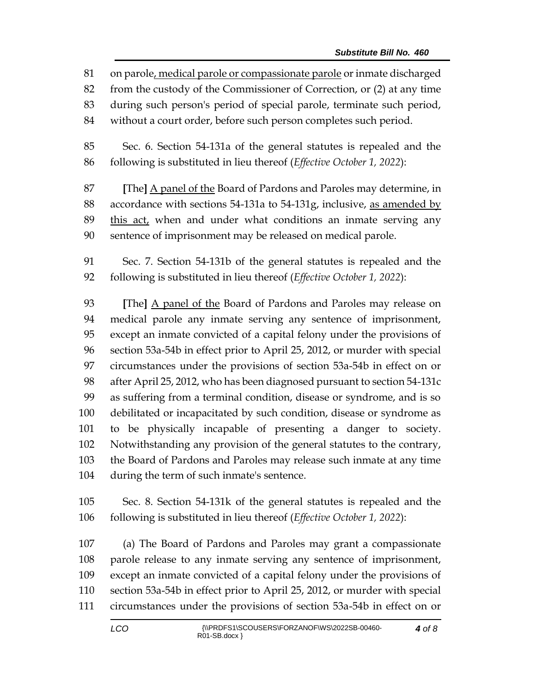on parole, medical parole or compassionate parole or inmate discharged from the custody of the Commissioner of Correction, or (2) at any time during such person's period of special parole, terminate such period, without a court order, before such person completes such period.

 Sec. 6. Section 54-131a of the general statutes is repealed and the following is substituted in lieu thereof (*Effective October 1, 2022*):

 **[**The**]** A panel of the Board of Pardons and Paroles may determine, in accordance with sections 54-131a to 54-131g, inclusive, as amended by 89 this act, when and under what conditions an inmate serving any sentence of imprisonment may be released on medical parole.

 Sec. 7. Section 54-131b of the general statutes is repealed and the following is substituted in lieu thereof (*Effective October 1, 2022*):

 **[**The**]** A panel of the Board of Pardons and Paroles may release on medical parole any inmate serving any sentence of imprisonment, except an inmate convicted of a capital felony under the provisions of section 53a-54b in effect prior to April 25, 2012, or murder with special circumstances under the provisions of section 53a-54b in effect on or after April 25, 2012, who has been diagnosed pursuant to section 54-131c as suffering from a terminal condition, disease or syndrome, and is so debilitated or incapacitated by such condition, disease or syndrome as to be physically incapable of presenting a danger to society. Notwithstanding any provision of the general statutes to the contrary, the Board of Pardons and Paroles may release such inmate at any time during the term of such inmate's sentence.

 Sec. 8. Section 54-131k of the general statutes is repealed and the following is substituted in lieu thereof (*Effective October 1, 2022*):

 (a) The Board of Pardons and Paroles may grant a compassionate parole release to any inmate serving any sentence of imprisonment, except an inmate convicted of a capital felony under the provisions of section 53a-54b in effect prior to April 25, 2012, or murder with special circumstances under the provisions of section 53a-54b in effect on or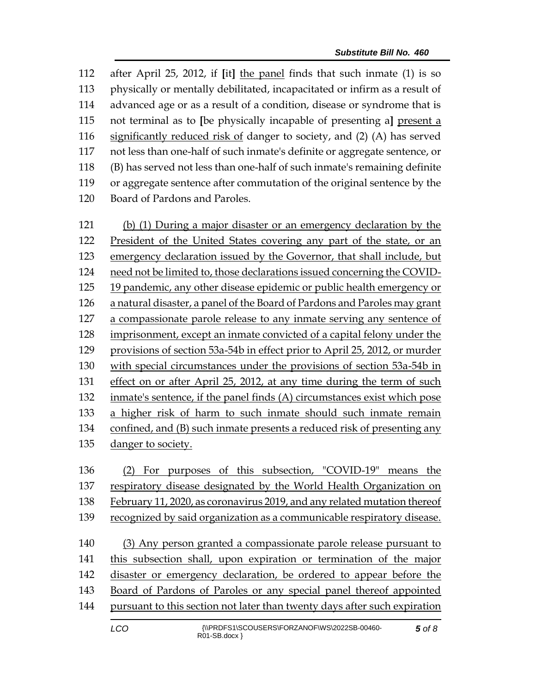after April 25, 2012, if **[**it**]** the panel finds that such inmate (1) is so physically or mentally debilitated, incapacitated or infirm as a result of advanced age or as a result of a condition, disease or syndrome that is not terminal as to **[**be physically incapable of presenting a**]** present a significantly reduced risk of danger to society, and (2) (A) has served not less than one-half of such inmate's definite or aggregate sentence, or (B) has served not less than one-half of such inmate's remaining definite or aggregate sentence after commutation of the original sentence by the Board of Pardons and Paroles.

 (b) (1) During a major disaster or an emergency declaration by the President of the United States covering any part of the state, or an emergency declaration issued by the Governor, that shall include, but need not be limited to, those declarations issued concerning the COVID- 19 pandemic, any other disease epidemic or public health emergency or a natural disaster, a panel of the Board of Pardons and Paroles may grant a compassionate parole release to any inmate serving any sentence of imprisonment, except an inmate convicted of a capital felony under the provisions of section 53a-54b in effect prior to April 25, 2012, or murder with special circumstances under the provisions of section 53a-54b in effect on or after April 25, 2012, at any time during the term of such inmate's sentence, if the panel finds (A) circumstances exist which pose a higher risk of harm to such inmate should such inmate remain confined, and (B) such inmate presents a reduced risk of presenting any danger to society.

 (2) For purposes of this subsection, "COVID-19" means the respiratory disease designated by the World Health Organization on February 11, 2020, as coronavirus 2019, and any related mutation thereof 139 recognized by said organization as a communicable respiratory disease.

 (3) Any person granted a compassionate parole release pursuant to this subsection shall, upon expiration or termination of the major disaster or emergency declaration, be ordered to appear before the Board of Pardons of Paroles or any special panel thereof appointed pursuant to this section not later than twenty days after such expiration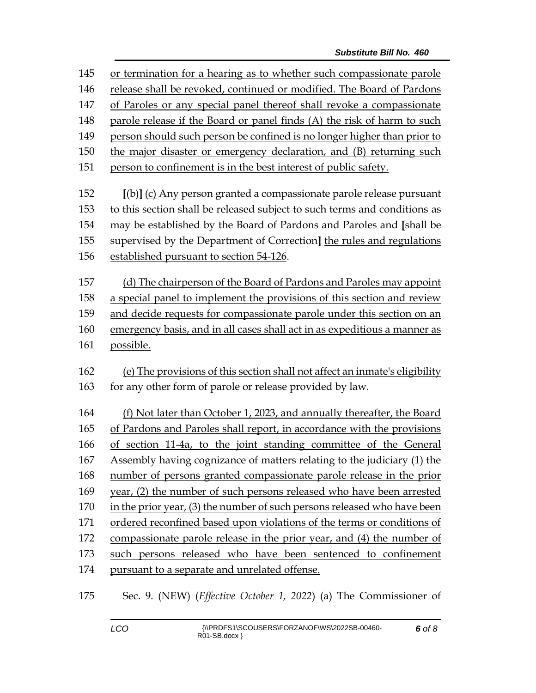| 145 | or termination for a hearing as to whether such compassionate parole           |  |  |
|-----|--------------------------------------------------------------------------------|--|--|
| 146 | release shall be revoked, continued or modified. The Board of Pardons          |  |  |
| 147 | of Paroles or any special panel thereof shall revoke a compassionate           |  |  |
| 148 | parole release if the Board or panel finds (A) the risk of harm to such        |  |  |
| 149 | person should such person be confined is no longer higher than prior to        |  |  |
| 150 | the major disaster or emergency declaration, and (B) returning such            |  |  |
| 151 | person to confinement is in the best interest of public safety.                |  |  |
|     |                                                                                |  |  |
| 152 | [(b)] (c) Any person granted a compassionate parole release pursuant           |  |  |
| 153 | to this section shall be released subject to such terms and conditions as      |  |  |
| 154 | may be established by the Board of Pardons and Paroles and [shall be           |  |  |
| 155 | supervised by the Department of Correction] the rules and regulations          |  |  |
| 156 | established pursuant to section 54-126.                                        |  |  |
|     |                                                                                |  |  |
| 157 | (d) The chairperson of the Board of Pardons and Paroles may appoint            |  |  |
| 158 | a special panel to implement the provisions of this section and review         |  |  |
| 159 | and decide requests for compassionate parole under this section on an          |  |  |
| 160 | emergency basis, and in all cases shall act in as expeditious a manner as      |  |  |
| 161 | possible.                                                                      |  |  |
| 162 | (e) The provisions of this section shall not affect an inmate's eligibility    |  |  |
| 163 | for any other form of parole or release provided by law.                       |  |  |
|     |                                                                                |  |  |
| 164 | (f) Not later than October 1, 2023, and annually thereafter, the Board         |  |  |
| 165 | of Pardons and Paroles shall report, in accordance with the provisions         |  |  |
| 166 | of section 11-4a, to the joint standing committee of the General               |  |  |
| 167 | <u>Assembly having cognizance of matters relating to the judiciary (1) the</u> |  |  |
| 168 | number of persons granted compassionate parole release in the prior            |  |  |
| 169 | year, (2) the number of such persons released who have been arrested           |  |  |
| 170 | in the prior year, (3) the number of such persons released who have been       |  |  |
| 171 | ordered reconfined based upon violations of the terms or conditions of         |  |  |
| 172 | compassionate parole release in the prior year, and (4) the number of          |  |  |
| 173 | such persons released who have been sentenced to confinement                   |  |  |
| 174 | pursuant to a separate and unrelated offense.                                  |  |  |
|     |                                                                                |  |  |
| 175 | Sec. 9. (NEW) (Effective October 1, 2022) (a) The Commissioner of              |  |  |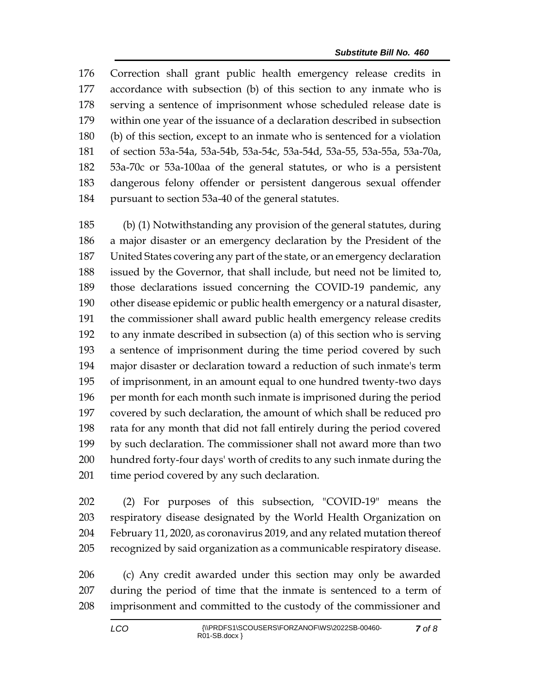Correction shall grant public health emergency release credits in accordance with subsection (b) of this section to any inmate who is serving a sentence of imprisonment whose scheduled release date is within one year of the issuance of a declaration described in subsection (b) of this section, except to an inmate who is sentenced for a violation of section 53a-54a, 53a-54b, 53a-54c, 53a-54d, 53a-55, 53a-55a, 53a-70a, 53a-70c or 53a-100aa of the general statutes, or who is a persistent dangerous felony offender or persistent dangerous sexual offender pursuant to section 53a-40 of the general statutes.

 (b) (1) Notwithstanding any provision of the general statutes, during a major disaster or an emergency declaration by the President of the United States covering any part of the state, or an emergency declaration issued by the Governor, that shall include, but need not be limited to, those declarations issued concerning the COVID-19 pandemic, any other disease epidemic or public health emergency or a natural disaster, the commissioner shall award public health emergency release credits to any inmate described in subsection (a) of this section who is serving a sentence of imprisonment during the time period covered by such major disaster or declaration toward a reduction of such inmate's term of imprisonment, in an amount equal to one hundred twenty-two days per month for each month such inmate is imprisoned during the period covered by such declaration, the amount of which shall be reduced pro rata for any month that did not fall entirely during the period covered by such declaration. The commissioner shall not award more than two hundred forty-four days' worth of credits to any such inmate during the time period covered by any such declaration.

 (2) For purposes of this subsection, "COVID-19" means the respiratory disease designated by the World Health Organization on February 11, 2020, as coronavirus 2019, and any related mutation thereof recognized by said organization as a communicable respiratory disease.

 (c) Any credit awarded under this section may only be awarded during the period of time that the inmate is sentenced to a term of imprisonment and committed to the custody of the commissioner and